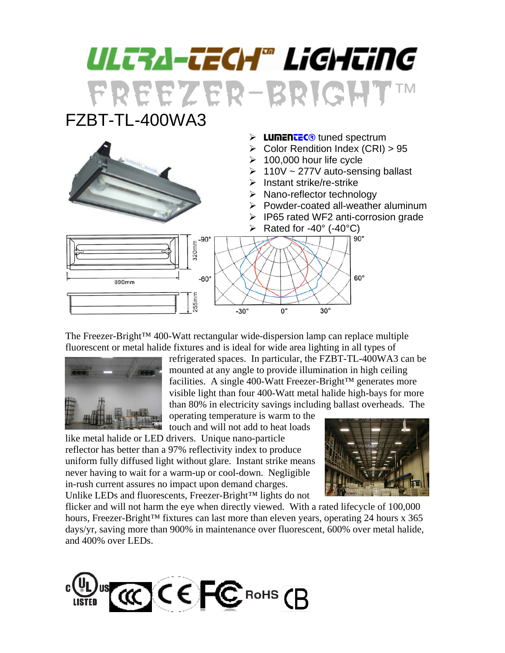## ULTRA-TECH® LiGHTiNG FREEZER-BRIGHT™ FZBT-TL-400WA3



The Freezer-Bright™ 400-Watt rectangular wide-dispersion lamp can replace multiple fluorescent or metal halide fixtures and is ideal for wide area lighting in all types of



refrigerated spaces. In particular, the FZBT-TL-400WA3 can be mounted at any angle to provide illumination in high ceiling facilities. A single 400-Watt Freezer-Bright™ generates more visible light than four 400-Watt metal halide high-bays for more than 80% in electricity savings including ballast overheads. The

operating temperature is warm to the touch and will not add to heat loads

like metal halide or LED drivers. Unique nano-particle reflector has better than a 97% reflectivity index to produce uniform fully diffused light without glare. Instant strike means never having to wait for a warm-up or cool-down. Negligible in-rush current assures no impact upon demand charges. Unlike LEDs and fluorescents, Freezer-Bright™ lights do not



flicker and will not harm the eye when directly viewed. With a rated lifecycle of 100,000 hours, Freezer-Bright™ fixtures can last more than eleven years, operating 24 hours x 365 days/yr, saving more than 900% in maintenance over fluorescent, 600% over metal halide, and 400% over LEDs.